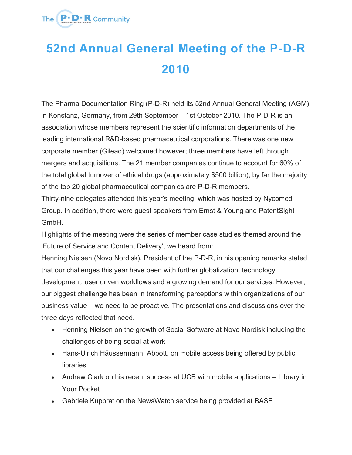

## **52nd Annual General Meeting of the P-D-R 2010**

The Pharma Documentation Ring (P-D-R) held its 52nd Annual General Meeting (AGM) in Konstanz, Germany, from 29th September – 1st October 2010. The P-D-R is an association whose members represent the scientific information departments of the leading international R&D-based pharmaceutical corporations. There was one new corporate member (Gilead) welcomed however; three members have left through mergers and acquisitions. The 21 member companies continue to account for 60% of the total global turnover of ethical drugs (approximately \$500 billion); by far the majority of the top 20 global pharmaceutical companies are P-D-R members.

Thirty-nine delegates attended this year's meeting, which was hosted by Nycomed Group. In addition, there were guest speakers from Ernst & Young and PatentSight GmbH.

Highlights of the meeting were the series of member case studies themed around the 'Future of Service and Content Delivery', we heard from:

Henning Nielsen (Novo Nordisk), President of the P-D-R, in his opening remarks stated that our challenges this year have been with further globalization, technology development, user driven workflows and a growing demand for our services. However, our biggest challenge has been in transforming perceptions within organizations of our business value – we need to be proactive. The presentations and discussions over the three days reflected that need.

- Henning Nielsen on the growth of Social Software at Novo Nordisk including the challenges of being social at work
- Hans-Ulrich Häussermann, Abbott, on mobile access being offered by public libraries
- Andrew Clark on his recent success at UCB with mobile applications Library in Your Pocket
- Gabriele Kupprat on the NewsWatch service being provided at BASF